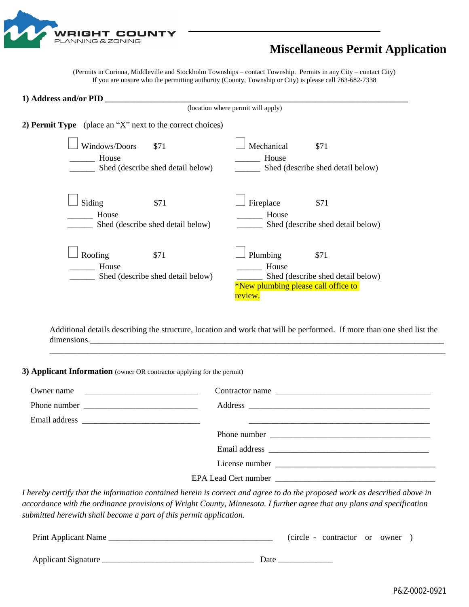

## **Miscellaneous Permit Application**

(Permits in Corinna, Middleville and Stockholm Townships – contact Township. Permits in any City – contact City) If you are unsure who the permitting authority (County, Township or City) is please call 763-682-7338

| 1) Address and/or PID                                               |                                                                                                                  |  |  |  |  |  |
|---------------------------------------------------------------------|------------------------------------------------------------------------------------------------------------------|--|--|--|--|--|
|                                                                     | (location where permit will apply)                                                                               |  |  |  |  |  |
| 2) <b>Permit Type</b> (place an "X" next to the correct choices)    |                                                                                                                  |  |  |  |  |  |
| Windows/Doors<br>\$71<br>House<br>Shed (describe shed detail below) | Mechanical<br>\$71<br>House<br>Shed (describe shed detail below)                                                 |  |  |  |  |  |
| Siding<br>\$71<br>House<br>Shed (describe shed detail below)        | Fireplace<br>\$71<br>House<br>Shed (describe shed detail below)                                                  |  |  |  |  |  |
| Roofing<br>\$71<br>House<br>Shed (describe shed detail below)       | Plumbing<br>\$71<br>House<br>Shed (describe shed detail below)<br>*New plumbing please call office to<br>review. |  |  |  |  |  |

Additional details describing the structure, location and work that will be performed. If more than one shed list the dimensions.

\_\_\_\_\_\_\_\_\_\_\_\_\_\_\_\_\_\_\_\_\_\_\_\_\_\_\_\_\_\_\_\_\_\_\_\_\_\_\_\_\_\_\_\_\_\_\_\_\_\_\_\_\_\_\_\_\_\_\_\_\_\_\_\_\_\_\_\_\_\_\_\_\_\_\_\_\_\_\_\_\_\_\_\_\_\_\_\_\_\_\_\_\_\_

**3) Applicant Information** (owner OR contractor applying for the permit)

| Owner name | Contractor name                                                                                                             |
|------------|-----------------------------------------------------------------------------------------------------------------------------|
|            |                                                                                                                             |
|            |                                                                                                                             |
|            |                                                                                                                             |
|            |                                                                                                                             |
|            |                                                                                                                             |
|            |                                                                                                                             |
|            | I hander coulty that the information contained housin is counset and goues to do the pruspeced would go described glooms in |

*I hereby certify that the information contained herein is correct and agree to do the proposed work as described above in accordance with the ordinance provisions of Wright County, Minnesota. I further agree that any plans and specification submitted herewith shall become a part of this permit application.* 

| Print Applicant Name |      | (circle - contractor or owner |  |  |
|----------------------|------|-------------------------------|--|--|
| Applicant Signature  | Date |                               |  |  |